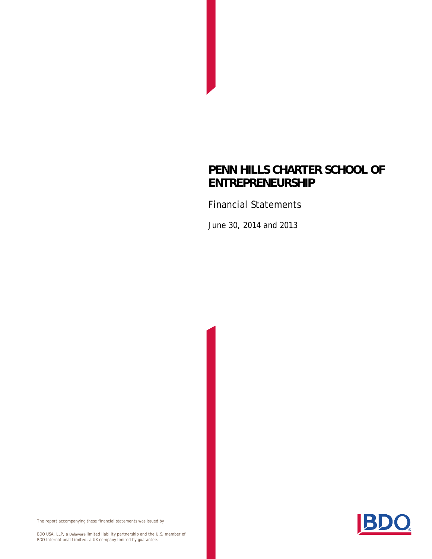Financial Statements

June 30, 2014 and 2013



The report accompanying these financial statements was issued by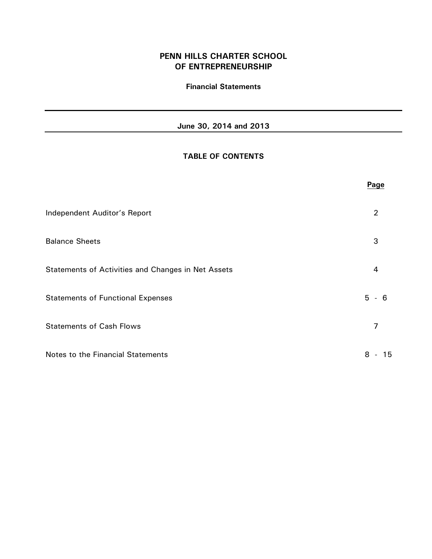### **Financial Statements**

# **June 30, 2014 and 2013**

# **TABLE OF CONTENTS**

|                                                    |   | Page           |
|----------------------------------------------------|---|----------------|
| Independent Auditor's Report                       |   | 2              |
| <b>Balance Sheets</b>                              |   | 3              |
| Statements of Activities and Changes in Net Assets |   | 4              |
| <b>Statements of Functional Expenses</b>           |   | $5 - 6$        |
| <b>Statements of Cash Flows</b>                    |   | $\overline{7}$ |
| Notes to the Financial Statements                  | 8 | 15             |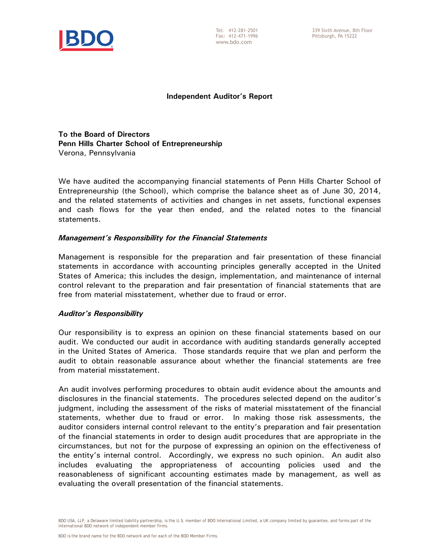

Tel: 412-281-2501 Fax: 412-471-1996 www.bdo.com

#### **Independent Auditor's Report**

**To the Board of Directors Penn Hills Charter School of Entrepreneurship** Verona, Pennsylvania

We have audited the accompanying financial statements of Penn Hills Charter School of Entrepreneurship (the School), which comprise the balance sheet as of June 30, 2014, and the related statements of activities and changes in net assets, functional expenses and cash flows for the year then ended, and the related notes to the financial statements.

### *Management's Responsibility for the Financial Statements*

Management is responsible for the preparation and fair presentation of these financial statements in accordance with accounting principles generally accepted in the United States of America; this includes the design, implementation, and maintenance of internal control relevant to the preparation and fair presentation of financial statements that are free from material misstatement, whether due to fraud or error.

### *Auditor's Responsibility*

Our responsibility is to express an opinion on these financial statements based on our audit. We conducted our audit in accordance with auditing standards generally accepted in the United States of America. Those standards require that we plan and perform the audit to obtain reasonable assurance about whether the financial statements are free from material misstatement.

An audit involves performing procedures to obtain audit evidence about the amounts and disclosures in the financial statements. The procedures selected depend on the auditor's judgment, including the assessment of the risks of material misstatement of the financial statements, whether due to fraud or error. In making those risk assessments, the auditor considers internal control relevant to the entity's preparation and fair presentation of the financial statements in order to design audit procedures that are appropriate in the circumstances, but not for the purpose of expressing an opinion on the effectiveness of the entity's internal control. Accordingly, we express no such opinion. An audit also includes evaluating the appropriateness of accounting policies used and the reasonableness of significant accounting estimates made by management, as well as evaluating the overall presentation of the financial statements.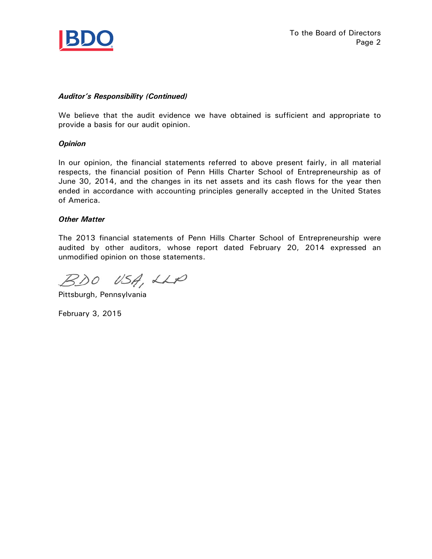

#### *Auditor's Responsibility (Continued)*

We believe that the audit evidence we have obtained is sufficient and appropriate to provide a basis for our audit opinion.

#### *Opinion*

In our opinion, the financial statements referred to above present fairly, in all material respects, the financial position of Penn Hills Charter School of Entrepreneurship as of June 30, 2014, and the changes in its net assets and its cash flows for the year then ended in accordance with accounting principles generally accepted in the United States of America.

#### *Other Matter*

The 2013 financial statements of Penn Hills Charter School of Entrepreneurship were audited by other auditors, whose report dated February 20, 2014 expressed an unmodified opinion on those statements.

BDO USA, LLP

Pittsburgh, Pennsylvania

February 3, 2015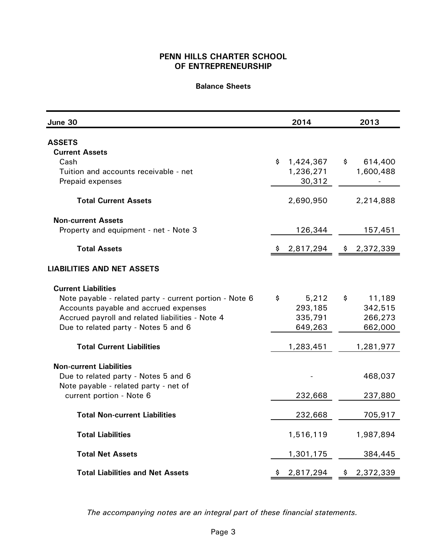### **Balance Sheets**

| June 30                                                 | 2014             | 2013            |
|---------------------------------------------------------|------------------|-----------------|
|                                                         |                  |                 |
| <b>ASSETS</b><br><b>Current Assets</b>                  |                  |                 |
| Cash                                                    | 1,424,367<br>\$. | 614,400<br>\$.  |
| Tuition and accounts receivable - net                   | 1,236,271        | 1,600,488       |
| Prepaid expenses                                        | 30,312           |                 |
| <b>Total Current Assets</b>                             | 2,690,950        | 2,214,888       |
| <b>Non-current Assets</b>                               |                  |                 |
| Property and equipment - net - Note 3                   | 126,344          | 157,451         |
| <b>Total Assets</b>                                     | 2,817,294<br>\$  | 2,372,339<br>Ş. |
| <b>LIABILITIES AND NET ASSETS</b>                       |                  |                 |
| <b>Current Liabilities</b>                              |                  |                 |
| Note payable - related party - current portion - Note 6 | 5,212<br>\$      | 11,189<br>\$    |
| Accounts payable and accrued expenses                   | 293,185          | 342,515         |
| Accrued payroll and related liabilities - Note 4        | 335,791          | 266,273         |
| Due to related party - Notes 5 and 6                    | 649,263          | 662,000         |
| <b>Total Current Liabilities</b>                        | 1,283,451        | 1,281,977       |
| <b>Non-current Liabilities</b>                          |                  |                 |
| Due to related party - Notes 5 and 6                    |                  | 468,037         |
| Note payable - related party - net of                   |                  |                 |
| current portion - Note 6                                | 232,668          | 237,880         |
| <b>Total Non-current Liabilities</b>                    | 232,668          | 705,917         |
| <b>Total Liabilities</b>                                | 1,516,119        | 1,987,894       |
| <b>Total Net Assets</b>                                 | 1,301,175        | 384,445         |
| <b>Total Liabilities and Net Assets</b>                 | 2,817,294<br>\$  | 2,372,339<br>\$ |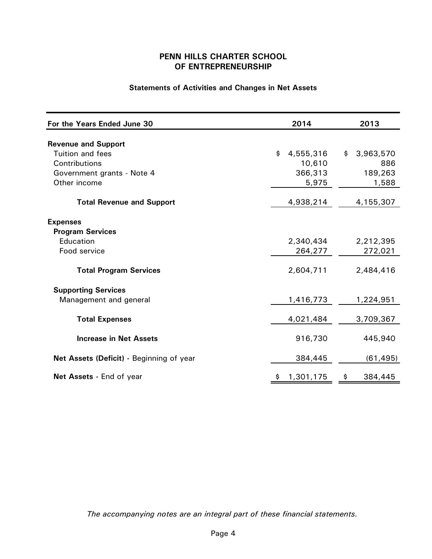# **Statements of Activities and Changes in Net Assets**

| For the Years Ended June 30              | 2014             | 2013          |
|------------------------------------------|------------------|---------------|
|                                          |                  |               |
| <b>Revenue and Support</b>               |                  |               |
| Tuition and fees                         | 4,555,316<br>\$  | \$3,963,570   |
| Contributions                            | 10,610           | 886           |
| Government grants - Note 4               | 366,313          | 189,263       |
| Other income                             | 5,975            | 1,588         |
| <b>Total Revenue and Support</b>         | 4,938,214        | 4,155,307     |
| <b>Expenses</b>                          |                  |               |
| <b>Program Services</b>                  |                  |               |
| Education                                | 2,340,434        | 2,212,395     |
| Food service                             | 264,277          | 272,021       |
| <b>Total Program Services</b>            | 2,604,711        | 2,484,416     |
| <b>Supporting Services</b>               |                  |               |
| Management and general                   | 1,416,773        | 1,224,951     |
| <b>Total Expenses</b>                    | 4,021,484        | 3,709,367     |
|                                          |                  |               |
| <b>Increase in Net Assets</b>            | 916,730          | 445,940       |
| Net Assets (Deficit) - Beginning of year | 384,445          | (61, 495)     |
| Net Assets - End of year                 | 1,301,175<br>\$. | 384,445<br>\$ |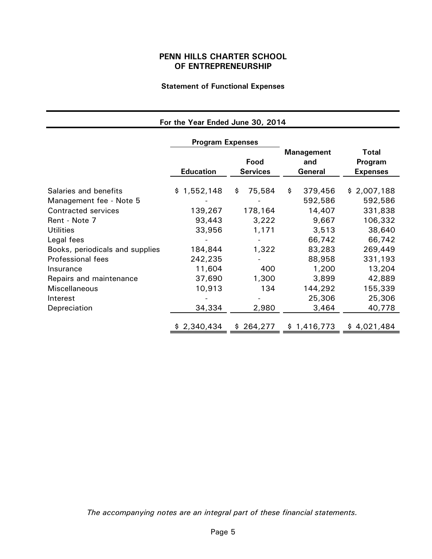# **Statement of Functional Expenses**

| For the Year Ended June 30, 2014 |                  |                         |                                            |                                            |  |
|----------------------------------|------------------|-------------------------|--------------------------------------------|--------------------------------------------|--|
| <b>Program Expenses</b>          |                  |                         |                                            |                                            |  |
|                                  | <b>Education</b> | Food<br><b>Services</b> | <b>Management</b><br>and<br><b>General</b> | <b>Total</b><br>Program<br><b>Expenses</b> |  |
|                                  |                  |                         |                                            |                                            |  |
| Salaries and benefits            | \$1,552,148      | 75,584<br>\$            | 379,456<br>\$                              | \$2,007,188                                |  |
| Management fee - Note 5          |                  |                         | 592,586                                    | 592,586                                    |  |
| <b>Contracted services</b>       | 139,267          | 178,164                 | 14,407                                     | 331,838                                    |  |
| Rent - Note 7                    | 93,443           | 3,222                   | 9,667                                      | 106,332                                    |  |
| <b>Utilities</b>                 | 33,956           | 1,171                   | 3,513                                      | 38,640                                     |  |
| Legal fees                       |                  |                         | 66,742                                     | 66,742                                     |  |
| Books, periodicals and supplies  | 184,844          | 1,322                   | 83,283                                     | 269,449                                    |  |
| <b>Professional fees</b>         | 242,235          |                         | 88,958                                     | 331,193                                    |  |
| Insurance                        | 11,604           | 400                     | 1,200                                      | 13,204                                     |  |
| Repairs and maintenance          | 37,690           | 1,300                   | 3,899                                      | 42,889                                     |  |
| Miscellaneous                    | 10,913           | 134                     | 144,292                                    | 155,339                                    |  |
| Interest                         |                  |                         | 25,306                                     | 25,306                                     |  |
| Depreciation                     | 34,334           | 2,980                   | 3,464                                      | 40,778                                     |  |
|                                  |                  |                         |                                            |                                            |  |
|                                  | \$2,340,434      | 264,277<br>\$.          | \$1,416,773                                | \$4,021,484                                |  |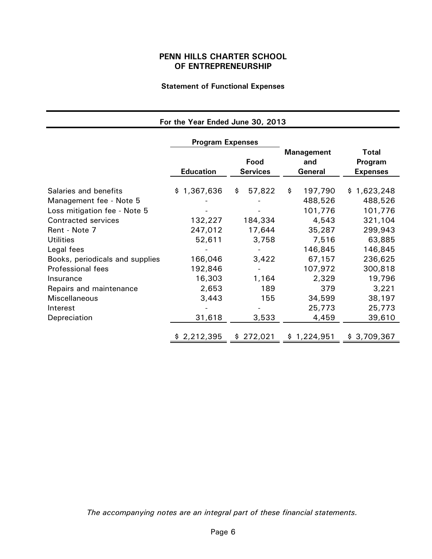# **Statement of Functional Expenses**

| For the Year Ended June 30, 2013                                                                                                                                                                                                                                  |                                                                                      |                                                                     |                                                                                                                 |                                                                                                                       |  |
|-------------------------------------------------------------------------------------------------------------------------------------------------------------------------------------------------------------------------------------------------------------------|--------------------------------------------------------------------------------------|---------------------------------------------------------------------|-----------------------------------------------------------------------------------------------------------------|-----------------------------------------------------------------------------------------------------------------------|--|
| <b>Program Expenses</b>                                                                                                                                                                                                                                           |                                                                                      |                                                                     |                                                                                                                 |                                                                                                                       |  |
|                                                                                                                                                                                                                                                                   | <b>Education</b>                                                                     | Food<br><b>Services</b>                                             | <b>Management</b><br>and<br>General                                                                             | <b>Total</b><br>Program<br><b>Expenses</b>                                                                            |  |
| Salaries and benefits<br>Management fee - Note 5<br>Loss mitigation fee - Note 5<br><b>Contracted services</b><br>Rent - Note 7<br><b>Utilities</b><br>Legal fees<br>Books, periodicals and supplies<br>Professional fees<br>Insurance<br>Repairs and maintenance | \$1,367,636<br>132,227<br>247,012<br>52,611<br>166,046<br>192,846<br>16,303<br>2,653 | 57,822<br>\$<br>184,334<br>17,644<br>3,758<br>3,422<br>1,164<br>189 | \$<br>197,790<br>488,526<br>101,776<br>4,543<br>35,287<br>7,516<br>146,845<br>67,157<br>107,972<br>2,329<br>379 | \$1,623,248<br>488,526<br>101,776<br>321,104<br>299,943<br>63,885<br>146,845<br>236,625<br>300,818<br>19,796<br>3,221 |  |
| Miscellaneous<br>Interest<br>Depreciation                                                                                                                                                                                                                         | 3,443<br>31,618                                                                      | 155<br>3,533                                                        | 34,599<br>25,773<br>4,459                                                                                       | 38,197<br>25,773<br>39,610                                                                                            |  |
|                                                                                                                                                                                                                                                                   | \$2,212,395                                                                          | \$272,021                                                           | \$1,224,951                                                                                                     | \$3,709,367                                                                                                           |  |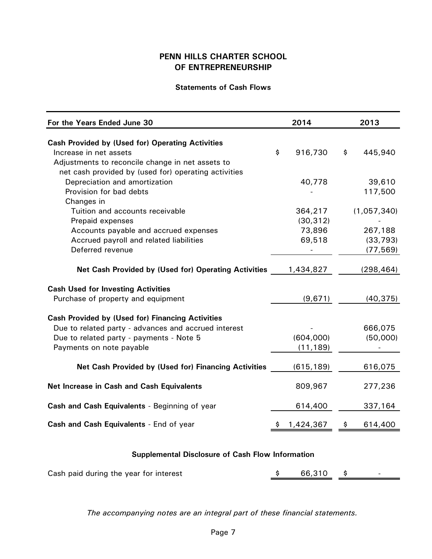### **Statements of Cash Flows**

| For the Years Ended June 30                                 |    | 2014       | 2013          |
|-------------------------------------------------------------|----|------------|---------------|
| <b>Cash Provided by (Used for) Operating Activities</b>     |    |            |               |
| Increase in net assets                                      | \$ | 916,730    | \$<br>445,940 |
| Adjustments to reconcile change in net assets to            |    |            |               |
| net cash provided by (used for) operating activities        |    |            |               |
| Depreciation and amortization                               |    | 40,778     | 39,610        |
| Provision for bad debts                                     |    |            | 117,500       |
| Changes in                                                  |    |            |               |
| Tuition and accounts receivable                             |    | 364,217    | (1,057,340)   |
| Prepaid expenses                                            |    | (30, 312)  |               |
| Accounts payable and accrued expenses                       |    | 73,896     | 267,188       |
| Accrued payroll and related liabilities                     |    | 69,518     | (33, 793)     |
| Deferred revenue                                            |    |            | (77, 569)     |
|                                                             |    |            |               |
| <b>Net Cash Provided by (Used for) Operating Activities</b> |    | 1,434,827  | (298, 464)    |
| <b>Cash Used for Investing Activities</b>                   |    |            |               |
| Purchase of property and equipment                          |    | (9,671)    | (40, 375)     |
|                                                             |    |            |               |
| <b>Cash Provided by (Used for) Financing Activities</b>     |    |            |               |
| Due to related party - advances and accrued interest        |    |            | 666,075       |
| Due to related party - payments - Note 5                    |    | (604,000)  | (50,000)      |
| Payments on note payable                                    |    | (11, 189)  |               |
|                                                             |    |            |               |
| <b>Net Cash Provided by (Used for) Financing Activities</b> |    | (615, 189) | 616,075       |
| Net Increase in Cash and Cash Equivalents                   |    | 809,967    | 277,236       |
| Cash and Cash Equivalents - Beginning of year               |    | 614,400    | 337,164       |
| Cash and Cash Equivalents - End of year                     | Ş  | 1,424,367  | \$<br>614,400 |
| <b>Supplemental Disclosure of Cash Flow Information</b>     |    |            |               |

#### **Supplemental Disclosure of Cash Flow Information**

| Cash paid during the year for interest | $$66,310$ \$ |  |
|----------------------------------------|--------------|--|
|                                        |              |  |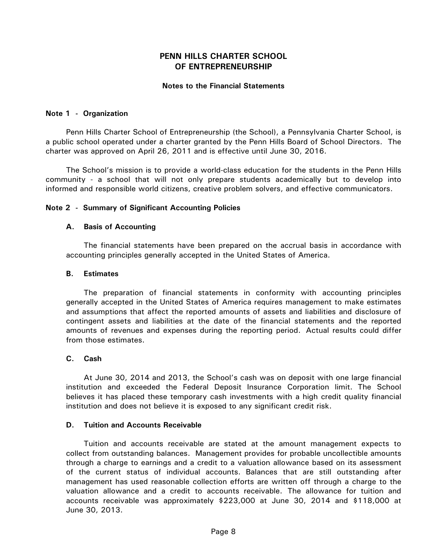### **Notes to the Financial Statements**

#### **Note 1 - Organization**

Penn Hills Charter School of Entrepreneurship (the School), a Pennsylvania Charter School, is a public school operated under a charter granted by the Penn Hills Board of School Directors. The charter was approved on April 26, 2011 and is effective until June 30, 2016.

The School's mission is to provide a world-class education for the students in the Penn Hills community - a school that will not only prepare students academically but to develop into informed and responsible world citizens, creative problem solvers, and effective communicators.

#### **Note 2 - Summary of Significant Accounting Policies**

#### **A. Basis of Accounting**

The financial statements have been prepared on the accrual basis in accordance with accounting principles generally accepted in the United States of America.

#### **B. Estimates**

The preparation of financial statements in conformity with accounting principles generally accepted in the United States of America requires management to make estimates and assumptions that affect the reported amounts of assets and liabilities and disclosure of contingent assets and liabilities at the date of the financial statements and the reported amounts of revenues and expenses during the reporting period. Actual results could differ from those estimates.

#### **C. Cash**

At June 30, 2014 and 2013, the School's cash was on deposit with one large financial institution and exceeded the Federal Deposit Insurance Corporation limit. The School believes it has placed these temporary cash investments with a high credit quality financial institution and does not believe it is exposed to any significant credit risk.

#### **D. Tuition and Accounts Receivable**

Tuition and accounts receivable are stated at the amount management expects to collect from outstanding balances. Management provides for probable uncollectible amounts through a charge to earnings and a credit to a valuation allowance based on its assessment of the current status of individual accounts. Balances that are still outstanding after management has used reasonable collection efforts are written off through a charge to the valuation allowance and a credit to accounts receivable. The allowance for tuition and accounts receivable was approximately \$223,000 at June 30, 2014 and \$118,000 at June 30, 2013.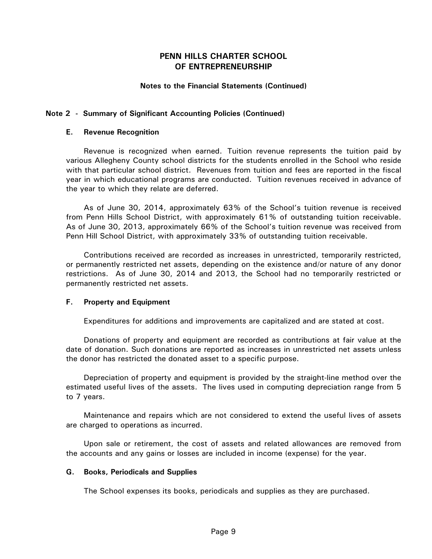### **Notes to the Financial Statements (Continued)**

### **Note 2 - Summary of Significant Accounting Policies (Continued)**

### **E. Revenue Recognition**

Revenue is recognized when earned. Tuition revenue represents the tuition paid by various Allegheny County school districts for the students enrolled in the School who reside with that particular school district. Revenues from tuition and fees are reported in the fiscal year in which educational programs are conducted. Tuition revenues received in advance of the year to which they relate are deferred.

As of June 30, 2014, approximately 63% of the School's tuition revenue is received from Penn Hills School District, with approximately 61% of outstanding tuition receivable. As of June 30, 2013, approximately 66% of the School's tuition revenue was received from Penn Hill School District, with approximately 33% of outstanding tuition receivable.

Contributions received are recorded as increases in unrestricted, temporarily restricted, or permanently restricted net assets, depending on the existence and/or nature of any donor restrictions. As of June 30, 2014 and 2013, the School had no temporarily restricted or permanently restricted net assets.

### **F. Property and Equipment**

Expenditures for additions and improvements are capitalized and are stated at cost.

Donations of property and equipment are recorded as contributions at fair value at the date of donation. Such donations are reported as increases in unrestricted net assets unless the donor has restricted the donated asset to a specific purpose.

Depreciation of property and equipment is provided by the straight-line method over the estimated useful lives of the assets. The lives used in computing depreciation range from 5 to 7 years.

Maintenance and repairs which are not considered to extend the useful lives of assets are charged to operations as incurred.

Upon sale or retirement, the cost of assets and related allowances are removed from the accounts and any gains or losses are included in income (expense) for the year.

### **G. Books, Periodicals and Supplies**

The School expenses its books, periodicals and supplies as they are purchased.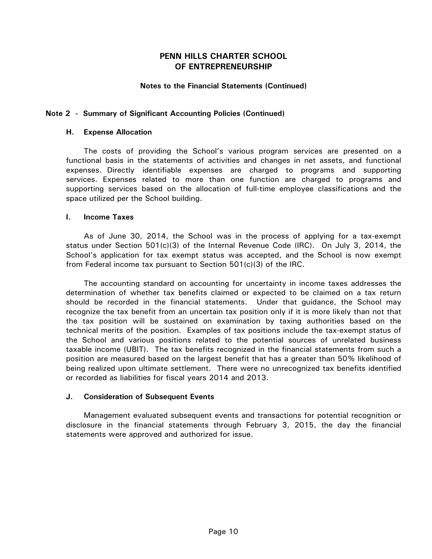### **Notes to the Financial Statements (Continued)**

### **Note 2 - Summary of Significant Accounting Policies (Continued)**

#### **H. Expense Allocation**

The costs of providing the School's various program services are presented on a functional basis in the statements of activities and changes in net assets, and functional expenses. Directly identifiable expenses are charged to programs and supporting services. Expenses related to more than one function are charged to programs and supporting services based on the allocation of full-time employee classifications and the space utilized per the School building.

#### **I. Income Taxes**

As of June 30, 2014, the School was in the process of applying for a tax-exempt status under Section 501(c)(3) of the Internal Revenue Code (IRC). On July 3, 2014, the School's application for tax exempt status was accepted, and the School is now exempt from Federal income tax pursuant to Section 501(c)(3) of the IRC.

The accounting standard on accounting for uncertainty in income taxes addresses the determination of whether tax benefits claimed or expected to be claimed on a tax return should be recorded in the financial statements. Under that guidance, the School may recognize the tax benefit from an uncertain tax position only if it is more likely than not that the tax position will be sustained on examination by taxing authorities based on the technical merits of the position. Examples of tax positions include the tax-exempt status of the School and various positions related to the potential sources of unrelated business taxable income (UBIT). The tax benefits recognized in the financial statements from such a position are measured based on the largest benefit that has a greater than 50% likelihood of being realized upon ultimate settlement. There were no unrecognized tax benefits identified or recorded as liabilities for fiscal years 2014 and 2013.

### **J. Consideration of Subsequent Events**

Management evaluated subsequent events and transactions for potential recognition or disclosure in the financial statements through February 3, 2015, the day the financial statements were approved and authorized for issue.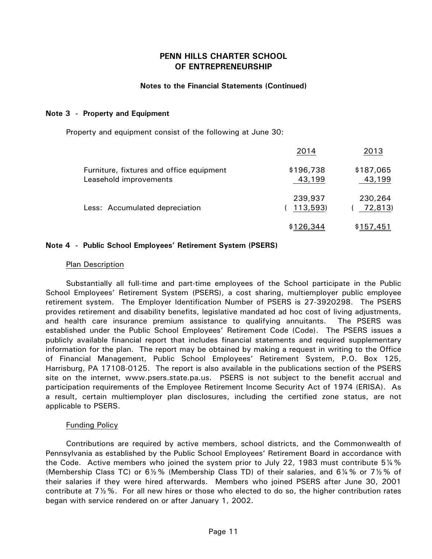### **Notes to the Financial Statements (Continued)**

### **Note 3 - Property and Equipment**

Property and equipment consist of the following at June 30:

|                                                                    | 2014                | 2013                |
|--------------------------------------------------------------------|---------------------|---------------------|
| Furniture, fixtures and office equipment<br>Leasehold improvements | \$196,738<br>43,199 | \$187,065<br>43,199 |
| Less: Accumulated depreciation                                     | 239,937<br>113,593) | 230,264<br>72,813)  |
|                                                                    | \$126,344           | \$157,451           |

### **Note 4 - Public School Employees' Retirement System (PSERS)**

### Plan Description

Substantially all full-time and part-time employees of the School participate in the Public School Employees' Retirement System (PSERS), a cost sharing, multiemployer public employee retirement system. The Employer Identification Number of PSERS is 27-3920298. The PSERS provides retirement and disability benefits, legislative mandated ad hoc cost of living adjustments, and health care insurance premium assistance to qualifying annuitants. The PSERS was established under the Public School Employees' Retirement Code (Code). The PSERS issues a publicly available financial report that includes financial statements and required supplementary information for the plan. The report may be obtained by making a request in writing to the Office of Financial Management, Public School Employees' Retirement System, P.O. Box 125, Harrisburg, PA 17108-0125. The report is also available in the publications section of the PSERS site on the internet, www.psers.state.pa.us. PSERS is not subject to the benefit accrual and participation requirements of the Employee Retirement Income Security Act of 1974 (ERISA). As a result, certain multiemployer plan disclosures, including the certified zone status, are not applicable to PSERS.

### Funding Policy

Contributions are required by active members, school districts, and the Commonwealth of Pennsylvania as established by the Public School Employees' Retirement Board in accordance with the Code. Active members who joined the system prior to July 22, 1983 must contribute 5¼% (Membership Class TC) or 6½% (Membership Class TD) of their salaries, and 6¼% or 7½% of their salaries if they were hired afterwards. Members who joined PSERS after June 30, 2001 contribute at 7½%. For all new hires or those who elected to do so, the higher contribution rates began with service rendered on or after January 1, 2002.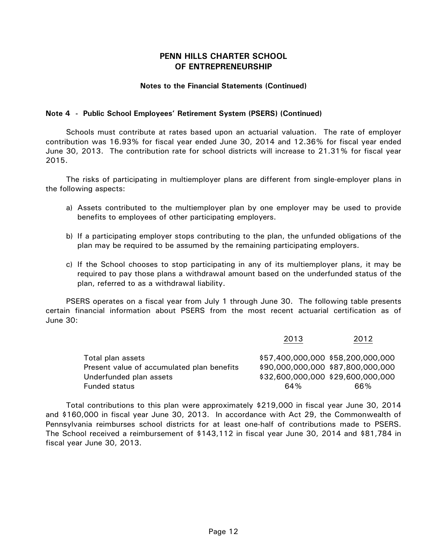### **Notes to the Financial Statements (Continued)**

### **Note 4 - Public School Employees' Retirement System (PSERS) (Continued)**

Schools must contribute at rates based upon an actuarial valuation. The rate of employer contribution was 16.93% for fiscal year ended June 30, 2014 and 12.36% for fiscal year ended June 30, 2013. The contribution rate for school districts will increase to 21.31% for fiscal year 2015.

The risks of participating in multiemployer plans are different from single-employer plans in the following aspects:

- a) Assets contributed to the multiemployer plan by one employer may be used to provide benefits to employees of other participating employers.
- b) If a participating employer stops contributing to the plan, the unfunded obligations of the plan may be required to be assumed by the remaining participating employers.
- c) If the School chooses to stop participating in any of its multiemployer plans, it may be required to pay those plans a withdrawal amount based on the underfunded status of the plan, referred to as a withdrawal liability.

PSERS operates on a fiscal year from July 1 through June 30. The following table presents certain financial information about PSERS from the most recent actuarial certification as of June 30:

|                                            | 2013 | 2012                              |
|--------------------------------------------|------|-----------------------------------|
| Total plan assets                          |      | \$57,400,000,000 \$58,200,000,000 |
| Present value of accumulated plan benefits |      | \$90,000,000,000 \$87,800,000,000 |
| Underfunded plan assets                    |      | \$32,600,000,000 \$29,600,000,000 |
| <b>Funded status</b>                       | 64%  | 66%                               |

Total contributions to this plan were approximately \$219,000 in fiscal year June 30, 2014 and \$160,000 in fiscal year June 30, 2013. In accordance with Act 29, the Commonwealth of Pennsylvania reimburses school districts for at least one-half of contributions made to PSERS. The School received a reimbursement of \$143,112 in fiscal year June 30, 2014 and \$81,784 in fiscal year June 30, 2013.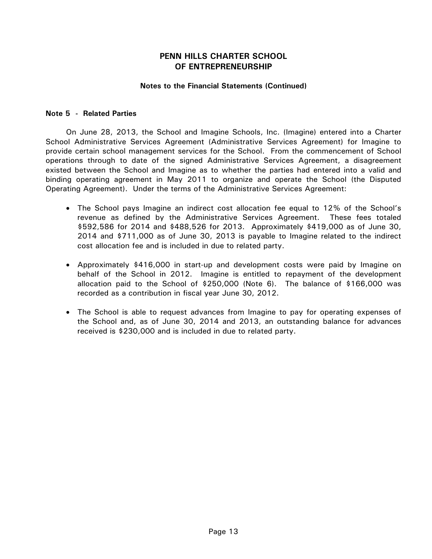### **Notes to the Financial Statements (Continued)**

### **Note 5 - Related Parties**

On June 28, 2013, the School and Imagine Schools, Inc. (Imagine) entered into a Charter School Administrative Services Agreement (Administrative Services Agreement) for Imagine to provide certain school management services for the School. From the commencement of School operations through to date of the signed Administrative Services Agreement, a disagreement existed between the School and Imagine as to whether the parties had entered into a valid and binding operating agreement in May 2011 to organize and operate the School (the Disputed Operating Agreement). Under the terms of the Administrative Services Agreement:

- The School pays Imagine an indirect cost allocation fee equal to 12% of the School's revenue as defined by the Administrative Services Agreement. These fees totaled \$592,586 for 2014 and \$488,526 for 2013. Approximately \$419,000 as of June 30, 2014 and \$711,000 as of June 30, 2013 is payable to Imagine related to the indirect cost allocation fee and is included in due to related party.
- Approximately \$416,000 in start-up and development costs were paid by Imagine on behalf of the School in 2012. Imagine is entitled to repayment of the development allocation paid to the School of \$250,000 (Note 6). The balance of \$166,000 was recorded as a contribution in fiscal year June 30, 2012.
- The School is able to request advances from Imagine to pay for operating expenses of the School and, as of June 30, 2014 and 2013, an outstanding balance for advances received is \$230,000 and is included in due to related party.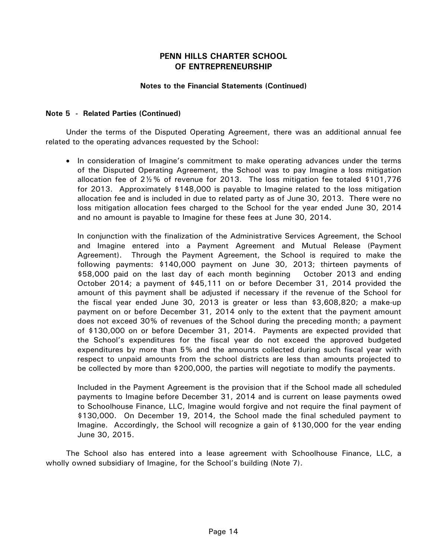### **Notes to the Financial Statements (Continued)**

### **Note 5 - Related Parties (Continued)**

Under the terms of the Disputed Operating Agreement, there was an additional annual fee related to the operating advances requested by the School:

• In consideration of Imagine's commitment to make operating advances under the terms of the Disputed Operating Agreement, the School was to pay Imagine a loss mitigation allocation fee of 2½% of revenue for 2013. The loss mitigation fee totaled \$101,776 for 2013. Approximately \$148,000 is payable to Imagine related to the loss mitigation allocation fee and is included in due to related party as of June 30, 2013. There were no loss mitigation allocation fees charged to the School for the year ended June 30, 2014 and no amount is payable to Imagine for these fees at June 30, 2014.

In conjunction with the finalization of the Administrative Services Agreement, the School and Imagine entered into a Payment Agreement and Mutual Release (Payment Agreement). Through the Payment Agreement, the School is required to make the following payments: \$140,000 payment on June 30, 2013; thirteen payments of \$58,000 paid on the last day of each month beginning October 2013 and ending October 2014; a payment of \$45,111 on or before December 31, 2014 provided the amount of this payment shall be adjusted if necessary if the revenue of the School for the fiscal year ended June 30, 2013 is greater or less than \$3,608,820; a make-up payment on or before December 31, 2014 only to the extent that the payment amount does not exceed 30% of revenues of the School during the preceding month; a payment of \$130,000 on or before December 31, 2014. Payments are expected provided that the School's expenditures for the fiscal year do not exceed the approved budgeted expenditures by more than 5% and the amounts collected during such fiscal year with respect to unpaid amounts from the school districts are less than amounts projected to be collected by more than \$200,000, the parties will negotiate to modify the payments.

Included in the Payment Agreement is the provision that if the School made all scheduled payments to Imagine before December 31, 2014 and is current on lease payments owed to Schoolhouse Finance, LLC, Imagine would forgive and not require the final payment of \$130,000. On December 19, 2014, the School made the final scheduled payment to Imagine. Accordingly, the School will recognize a gain of \$130,000 for the year ending June 30, 2015.

The School also has entered into a lease agreement with Schoolhouse Finance, LLC, a wholly owned subsidiary of Imagine, for the School's building (Note 7).